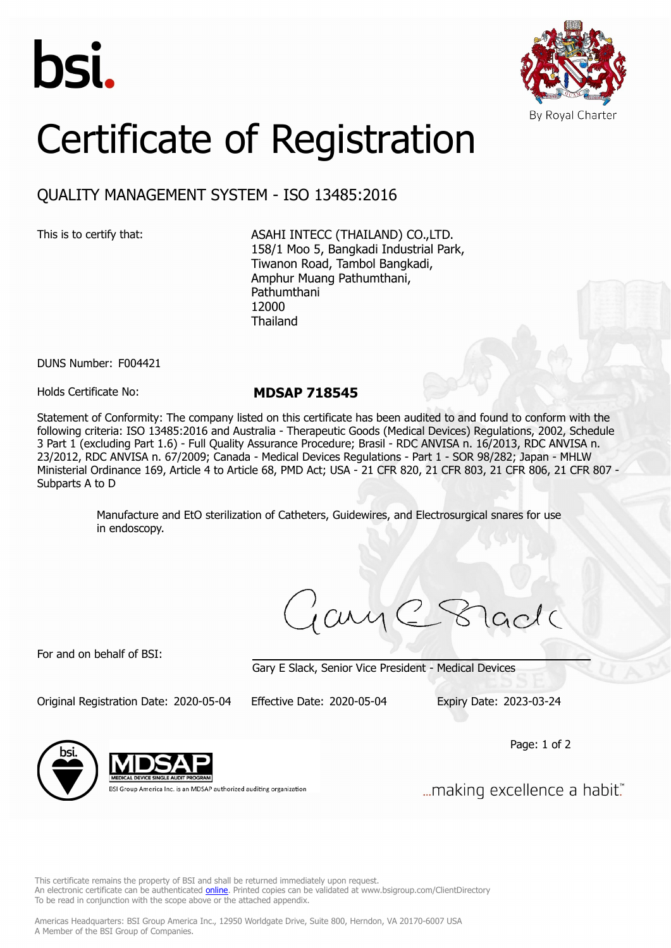



# Certificate of Registration

# QUALITY MANAGEMENT SYSTEM - ISO 13485:2016

This is to certify that: ASAHI INTECC (THAILAND) CO., LTD. 158/1 Moo 5, Bangkadi Industrial Park, Tiwanon Road, Tambol Bangkadi, Amphur Muang Pathumthani, Pathumthani 12000 Thailand

DUNS Number: F004421

Holds Certificate No: **MDSAP 718545**

Statement of Conformity: The company listed on this certificate has been audited to and found to conform with the following criteria: ISO 13485:2016 and Australia - Therapeutic Goods (Medical Devices) Regulations, 2002, Schedule 3 Part 1 (excluding Part 1.6) - Full Quality Assurance Procedure; Brasil - RDC ANVISA n. 16/2013, RDC ANVISA n. 23/2012, RDC ANVISA n. 67/2009; Canada - Medical Devices Regulations - Part 1 - SOR 98/282; Japan - MHLW Ministerial Ordinance 169, Article 4 to Article 68, PMD Act; USA - 21 CFR 820, 21 CFR 803, 21 CFR 806, 21 CFR 807 - Subparts A to D

> Manufacture and EtO sterilization of Catheters, Guidewires, and Electrosurgical snares for use in endoscopy.

ayC8

For and on behalf of BSI:

Gary E Slack, Senior Vice President - Medical Devices

Original Registration Date: 2020-05-04 Effective Date: 2020-05-04 Expiry Date: 2023-03-24

Page: 1 of 2



BSI Group America Inc. is an MDSAP authorized auditing organization

... making excellence a habit."

This certificate remains the property of BSI and shall be returned immediately upon request. An electronic certificate can be authenticated *[online](https://pgplus.bsigroup.com/CertificateValidation/CertificateValidator.aspx?CertificateNumber=MDSAP+718545&ReIssueDate=04%2f05%2f2020&Template=inc)*. Printed copies can be validated at www.bsigroup.com/ClientDirectory To be read in conjunction with the scope above or the attached appendix.

Americas Headquarters: BSI Group America Inc., 12950 Worldgate Drive, Suite 800, Herndon, VA 20170-6007 USA A Member of the BSI Group of Companies.